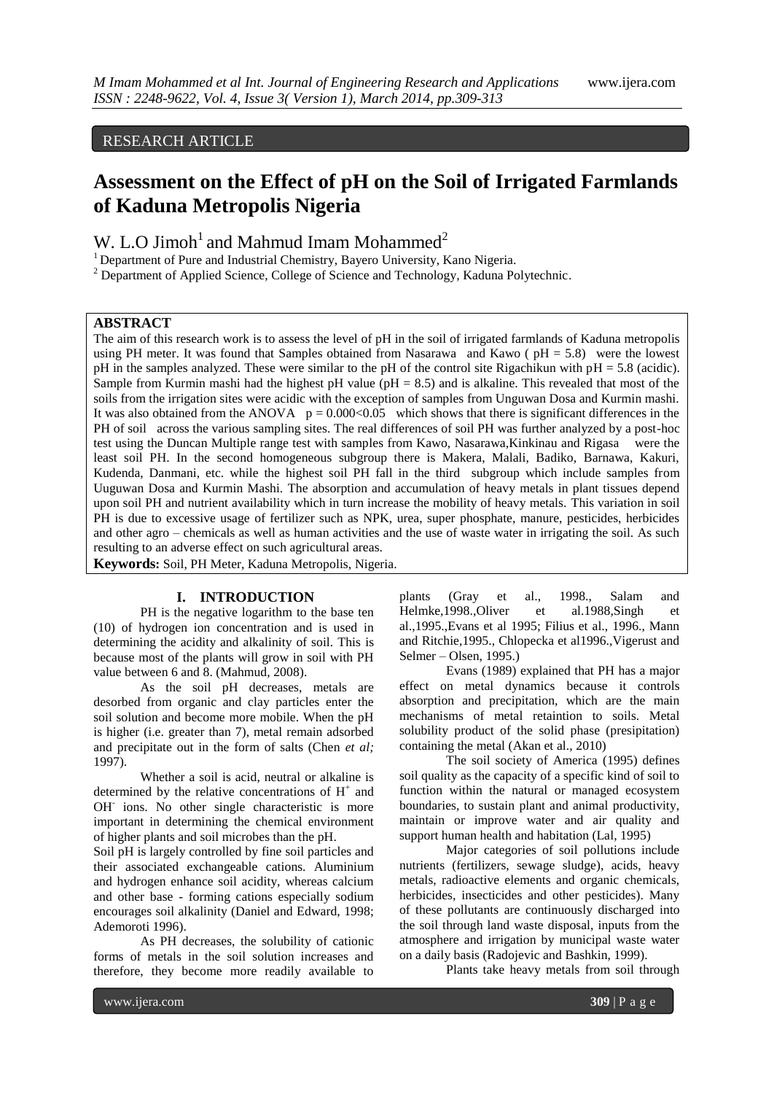## RESEARCH ARTICLE

# **Assessment on the Effect of pH on the Soil of Irrigated Farmlands of Kaduna Metropolis Nigeria**

# W. L.O Jimoh<sup>1</sup> and Mahmud Imam Mohammed<sup>2</sup>

<sup>1</sup> Department of Pure and Industrial Chemistry, Bayero University, Kano Nigeria.

<sup>2</sup> Department of Applied Science, College of Science and Technology, Kaduna Polytechnic.

### **ABSTRACT**

The aim of this research work is to assess the level of pH in the soil of irrigated farmlands of Kaduna metropolis using PH meter. It was found that Samples obtained from Nasarawa and Kawo ( $pH = 5.8$ ) were the lowest pH in the samples analyzed. These were similar to the pH of the control site Rigachikun with pH = 5.8 (acidic). Sample from Kurmin mashi had the highest pH value ( $pH = 8.5$ ) and is alkaline. This revealed that most of the soils from the irrigation sites were acidic with the exception of samples from Unguwan Dosa and Kurmin mashi. It was also obtained from the ANOVA  $p = 0.000<0.05$  which shows that there is significant differences in the PH of soil across the various sampling sites. The real differences of soil PH was further analyzed by a post-hoc test using the Duncan Multiple range test with samples from Kawo, Nasarawa,Kinkinau and Rigasa were the least soil PH. In the second homogeneous subgroup there is Makera, Malali, Badiko, Barnawa, Kakuri, Kudenda, Danmani, etc. while the highest soil PH fall in the third subgroup which include samples from Uuguwan Dosa and Kurmin Mashi. The absorption and accumulation of heavy metals in plant tissues depend upon soil PH and nutrient availability which in turn increase the mobility of heavy metals. This variation in soil PH is due to excessive usage of fertilizer such as NPK, urea, super phosphate, manure, pesticides, herbicides and other agro – chemicals as well as human activities and the use of waste water in irrigating the soil. As such resulting to an adverse effect on such agricultural areas.

**Keywords:** Soil, PH Meter, Kaduna Metropolis, Nigeria.

#### **I. INTRODUCTION**

PH is the negative logarithm to the base ten (10) of hydrogen ion concentration and is used in determining the acidity and alkalinity of soil. This is because most of the plants will grow in soil with PH value between 6 and 8. (Mahmud, 2008).

As the soil pH decreases, metals are desorbed from organic and clay particles enter the soil solution and become more mobile. When the pH is higher (i.e. greater than 7), metal remain adsorbed and precipitate out in the form of salts (Chen *et al;* 1997).

Whether a soil is acid, neutral or alkaline is determined by the relative concentrations of  $H^+$  and OH<sup>-</sup> ions. No other single characteristic is more important in determining the chemical environment of higher plants and soil microbes than the pH.

Soil pH is largely controlled by fine soil particles and their associated exchangeable cations. Aluminium and hydrogen enhance soil acidity, whereas calcium and other base - forming cations especially sodium encourages soil alkalinity (Daniel and Edward, 1998; Ademoroti 1996).

As PH decreases, the solubility of cationic forms of metals in the soil solution increases and therefore, they become more readily available to

plants (Gray et al., 1998., Salam and Helmke,1998.,Oliver et al.1988,Singh et al.,1995.,Evans et al 1995; Filius et al., 1996., Mann and Ritchie,1995., Chlopecka et al1996.,Vigerust and Selmer – Olsen, 1995.)

Evans (1989) explained that PH has a major effect on metal dynamics because it controls absorption and precipitation, which are the main mechanisms of metal retaintion to soils. Metal solubility product of the solid phase (presipitation) containing the metal (Akan et al., 2010)

The soil society of America (1995) defines soil quality as the capacity of a specific kind of soil to function within the natural or managed ecosystem boundaries, to sustain plant and animal productivity, maintain or improve water and air quality and support human health and habitation (Lal, 1995)

Major categories of soil pollutions include nutrients (fertilizers, sewage sludge), acids, heavy metals, radioactive elements and organic chemicals, herbicides, insecticides and other pesticides). Many of these pollutants are continuously discharged into the soil through land waste disposal, inputs from the atmosphere and irrigation by municipal waste water on a daily basis (Radojevic and Bashkin, 1999).

Plants take heavy metals from soil through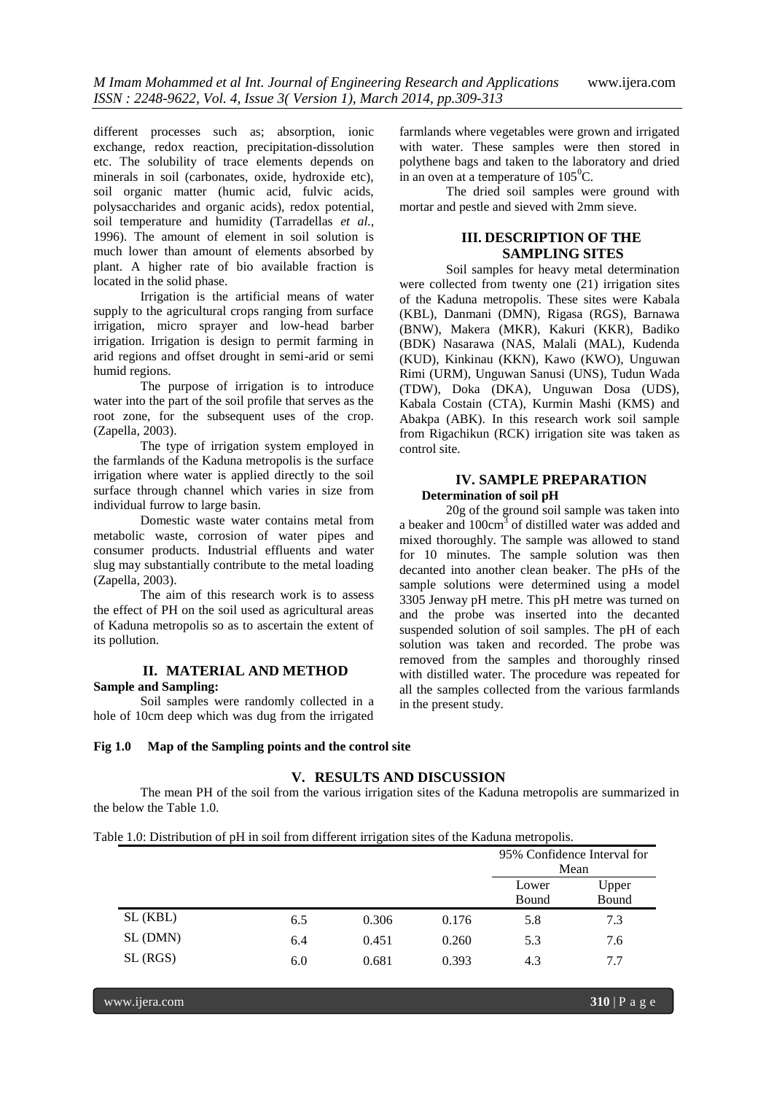different processes such as; absorption, ionic exchange, redox reaction, precipitation-dissolution etc. The solubility of trace elements depends on minerals in soil (carbonates, oxide, hydroxide etc), soil organic matter (humic acid, fulvic acids, polysaccharides and organic acids), redox potential, soil temperature and humidity (Tarradellas *et al.,* 1996). The amount of element in soil solution is much lower than amount of elements absorbed by plant. A higher rate of bio available fraction is located in the solid phase.

Irrigation is the artificial means of water supply to the agricultural crops ranging from surface irrigation, micro sprayer and low-head barber irrigation. Irrigation is design to permit farming in arid regions and offset drought in semi-arid or semi humid regions.

The purpose of irrigation is to introduce water into the part of the soil profile that serves as the root zone, for the subsequent uses of the crop. (Zapella, 2003).

The type of irrigation system employed in the farmlands of the Kaduna metropolis is the surface irrigation where water is applied directly to the soil surface through channel which varies in size from individual furrow to large basin.

Domestic waste water contains metal from metabolic waste, corrosion of water pipes and consumer products. Industrial effluents and water slug may substantially contribute to the metal loading (Zapella, 2003).

The aim of this research work is to assess the effect of PH on the soil used as agricultural areas of Kaduna metropolis so as to ascertain the extent of its pollution.

## **II. MATERIAL AND METHOD Sample and Sampling:**

Soil samples were randomly collected in a hole of 10cm deep which was dug from the irrigated

farmlands where vegetables were grown and irrigated with water. These samples were then stored in polythene bags and taken to the laboratory and dried in an oven at a temperature of  $105^{\circ}$ C.

The dried soil samples were ground with mortar and pestle and sieved with 2mm sieve.

## **III. DESCRIPTION OF THE SAMPLING SITES**

Soil samples for heavy metal determination were collected from twenty one (21) irrigation sites of the Kaduna metropolis. These sites were Kabala (KBL), Danmani (DMN), Rigasa (RGS), Barnawa (BNW), Makera (MKR), Kakuri (KKR), Badiko (BDK) Nasarawa (NAS, Malali (MAL), Kudenda (KUD), Kinkinau (KKN), Kawo (KWO), Unguwan Rimi (URM), Unguwan Sanusi (UNS), Tudun Wada (TDW), Doka (DKA), Unguwan Dosa (UDS), Kabala Costain (CTA), Kurmin Mashi (KMS) and Abakpa (ABK). In this research work soil sample from Rigachikun (RCK) irrigation site was taken as control site.

## **IV. SAMPLE PREPARATION Determination of soil pH**

20g of the ground soil sample was taken into a beaker and 100cm<sup>3</sup> of distilled water was added and mixed thoroughly. The sample was allowed to stand for 10 minutes. The sample solution was then decanted into another clean beaker. The pHs of the sample solutions were determined using a model 3305 Jenway pH metre. This pH metre was turned on and the probe was inserted into the decanted suspended solution of soil samples. The pH of each solution was taken and recorded. The probe was removed from the samples and thoroughly rinsed with distilled water. The procedure was repeated for all the samples collected from the various farmlands in the present study.

#### **Fig 1.0 Map of the Sampling points and the control site**

### **V. RESULTS AND DISCUSSION**

The mean PH of the soil from the various irrigation sites of the Kaduna metropolis are summarized in the below the Table 1.0.

| Table 1.0: Distribution of pH in soil from different irrigation sites of the Kaduna metropolis. |  |  |
|-------------------------------------------------------------------------------------------------|--|--|
|                                                                                                 |  |  |

|          |     | ັ     |       |       |                             |
|----------|-----|-------|-------|-------|-----------------------------|
|          |     |       |       |       | 95% Confidence Interval for |
|          |     |       |       |       | Mean                        |
|          |     |       |       | Lower | Upper                       |
|          |     |       |       | Bound | Bound                       |
| SL (KBL) | 6.5 | 0.306 | 0.176 | 5.8   | 7.3                         |
| SL (DMN) | 6.4 | 0.451 | 0.260 | 5.3   | 7.6                         |
| SL(RGS)  | 6.0 | 0.681 | 0.393 | 4.3   | 7.7                         |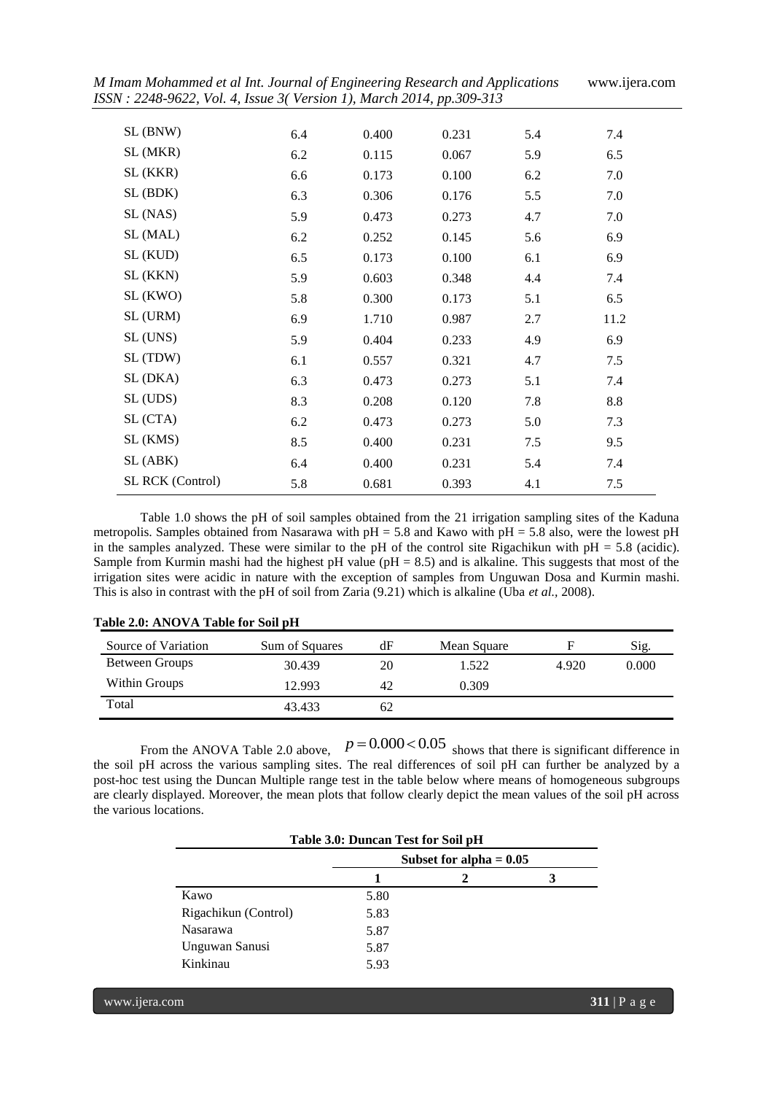| M Imam Mohammed et al Int. Journal of Engineering Research and Applications<br>ISSN: 2248-9622, Vol. 4, Issue 3(Version 1), March 2014, pp.309-313 |     |       | www.ijera.com |     |      |
|----------------------------------------------------------------------------------------------------------------------------------------------------|-----|-------|---------------|-----|------|
| SL (BNW)                                                                                                                                           | 6.4 | 0.400 | 0.231         | 5.4 | 7.4  |
| SL (MKR)                                                                                                                                           | 6.2 | 0.115 | 0.067         | 5.9 | 6.5  |
| SL (KKR)                                                                                                                                           | 6.6 | 0.173 | 0.100         | 6.2 | 7.0  |
| SL (BDK)                                                                                                                                           | 6.3 | 0.306 | 0.176         | 5.5 | 7.0  |
| SL (NAS)                                                                                                                                           | 5.9 | 0.473 | 0.273         | 4.7 | 7.0  |
| SL (MAL)                                                                                                                                           | 6.2 | 0.252 | 0.145         | 5.6 | 6.9  |
| SL (KUD)                                                                                                                                           | 6.5 | 0.173 | 0.100         | 6.1 | 6.9  |
| SL (KKN)                                                                                                                                           | 5.9 | 0.603 | 0.348         | 4.4 | 7.4  |
| SL (KWO)                                                                                                                                           | 5.8 | 0.300 | 0.173         | 5.1 | 6.5  |
| SL (URM)                                                                                                                                           | 6.9 | 1.710 | 0.987         | 2.7 | 11.2 |
| SL (UNS)                                                                                                                                           | 5.9 | 0.404 | 0.233         | 4.9 | 6.9  |
| SL (TDW)                                                                                                                                           | 6.1 | 0.557 | 0.321         | 4.7 | 7.5  |
| SL (DKA)                                                                                                                                           | 6.3 | 0.473 | 0.273         | 5.1 | 7.4  |
| SL (UDS)                                                                                                                                           | 8.3 | 0.208 | 0.120         | 7.8 | 8.8  |
| SL (CTA)                                                                                                                                           | 6.2 | 0.473 | 0.273         | 5.0 | 7.3  |
| SL (KMS)                                                                                                                                           | 8.5 | 0.400 | 0.231         | 7.5 | 9.5  |
| SL (ABK)                                                                                                                                           | 6.4 | 0.400 | 0.231         | 5.4 | 7.4  |
| SL RCK (Control)                                                                                                                                   | 5.8 | 0.681 | 0.393         | 4.1 | 7.5  |

Table 1.0 shows the pH of soil samples obtained from the 21 irrigation sampling sites of the Kaduna metropolis. Samples obtained from Nasarawa with  $pH = 5.8$  and Kawo with  $pH = 5.8$  also, were the lowest  $pH$ in the samples analyzed. These were similar to the pH of the control site Rigachikun with  $pH = 5.8$  (acidic). Sample from Kurmin mashi had the highest pH value ( $pH = 8.5$ ) and is alkaline. This suggests that most of the irrigation sites were acidic in nature with the exception of samples from Unguwan Dosa and Kurmin mashi. This is also in contrast with the pH of soil from Zaria (9.21) which is alkaline (Uba *et al.,* 2008).

| Source of Variation | Sum of Squares | dF | Mean Square |       | Sig.  |
|---------------------|----------------|----|-------------|-------|-------|
| Between Groups      | 30.439         | 20 | 1.522       | 4.920 | 0.000 |
| Within Groups       | 12.993         | 42 | 0.309       |       |       |
| Total               | 43.433         | 62 |             |       |       |

## **Table 2.0: ANOVA Table for Soil pH**

From the ANOVA Table 2.0 above,  $p = 0.000 \lt 0.05$  shows that there is significant difference in the soil pH across the various sampling sites. The real differences of soil pH can further be analyzed by a post-hoc test using the Duncan Multiple range test in the table below where means of homogeneous subgroups are clearly displayed. Moreover, the mean plots that follow clearly depict the mean values of the soil pH across the various locations.

|                      | Table 3.0: Duncan Test for Soil pH |                           |  |  |  |
|----------------------|------------------------------------|---------------------------|--|--|--|
|                      |                                    | Subset for alpha $= 0.05$ |  |  |  |
|                      |                                    | 2                         |  |  |  |
| Kawo                 | 5.80                               |                           |  |  |  |
| Rigachikun (Control) | 5.83                               |                           |  |  |  |
| <b>Nasarawa</b>      | 5.87                               |                           |  |  |  |
| Unguwan Sanusi       | 5.87                               |                           |  |  |  |
| Kinkinau             | 5.93                               |                           |  |  |  |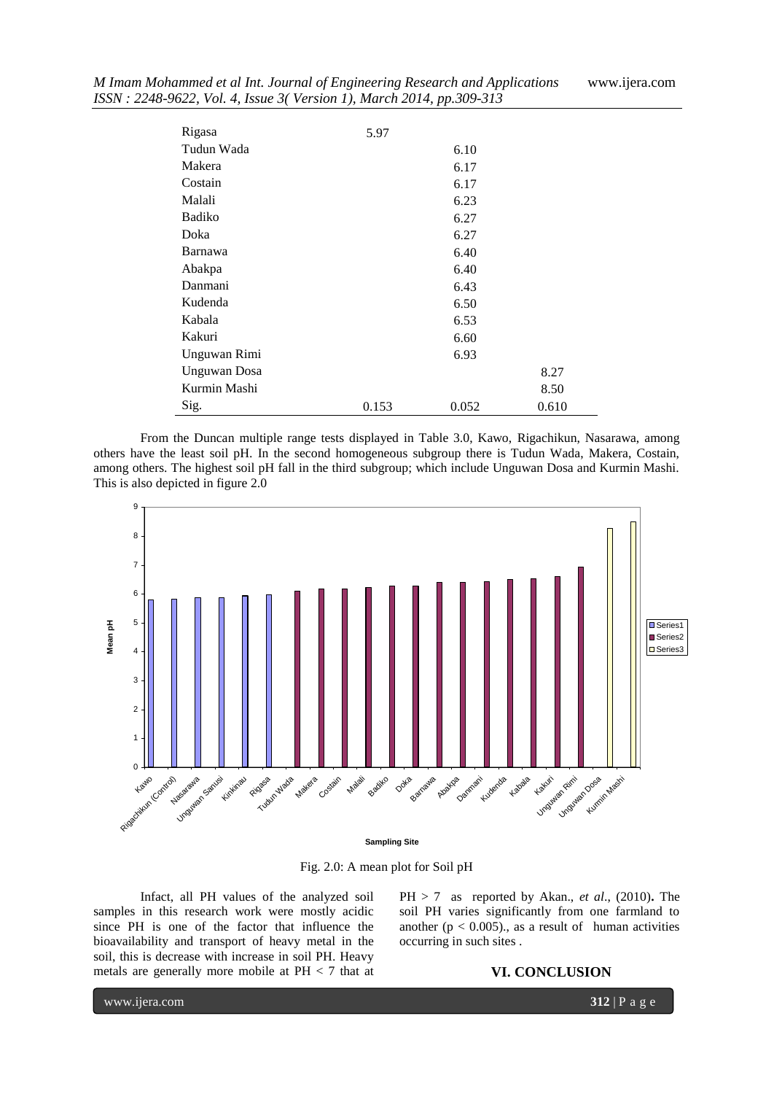| Rigasa              | 5.97  |       |       |
|---------------------|-------|-------|-------|
| Tudun Wada          |       | 6.10  |       |
| Makera              |       | 6.17  |       |
| Costain             |       | 6.17  |       |
| Malali              |       | 6.23  |       |
| Badiko              |       | 6.27  |       |
| Doka                |       | 6.27  |       |
| Barnawa             |       | 6.40  |       |
| Abakpa              |       | 6.40  |       |
| Danmani             |       | 6.43  |       |
| Kudenda             |       | 6.50  |       |
| Kabala              |       | 6.53  |       |
| Kakuri              |       | 6.60  |       |
| Unguwan Rimi        |       | 6.93  |       |
| <b>Unguwan</b> Dosa |       |       | 8.27  |
| Kurmin Mashi        |       |       | 8.50  |
| Sig.                | 0.153 | 0.052 | 0.610 |

From the Duncan multiple range tests displayed in Table 3.0, Kawo, Rigachikun, Nasarawa, among others have the least soil pH. In the second homogeneous subgroup there is Tudun Wada, Makera, Costain, among others. The highest soil pH fall in the third subgroup; which include Unguwan Dosa and Kurmin Mashi. This is also depicted in figure 2.0



Fig. 2.0: A mean plot for Soil pH

Infact, all PH values of the analyzed soil samples in this research work were mostly acidic since PH is one of the factor that influence the bioavailability and transport of heavy metal in the soil, this is decrease with increase in soil PH. Heavy metals are generally more mobile at PH < 7 that at  $PH > 7$  as reported by Akan., *et al.*, (2010). The soil PH varies significantly from one farmland to another ( $p < 0.005$ )., as a result of human activities occurring in such sites .

#### **VI. CONCLUSION**